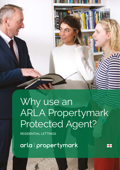Why use an ARLA Propertymark Protected Agent?

Ŧ

RESIDENTIAL LETTINGS

arla | propertymark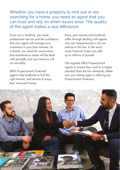Whether you have a property to rent out or are searching for a home, you need an agent that you can trust and rely on when issues arise. The quality of the agent makes a real difference.

If you are a landlord, you need professional service and the confidence that your agent will manage your investment in your best interests. As a tenant, you need the reassurance that maintenance issues will be dealt with promptly and your tenancy will run smoothly.

ARLA Propertymark Protected agents help landlords to find the right tenants, and tenants to enjoy their treasured homes.

Every year tenants and landlords suffer through dealing with agents who are inexperienced or do not adhere to the law. In the worst cases financial losses can add up to millions of pounds.

We regulate ARLA Propertymark agents to ensure they work to a higher standard than the law demands. Make sure your letting agent is offering you Propertymark Protection.

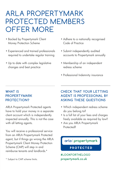# ARLA PROPERTYMARK PROTECTED MEMBERS OFFER MORE

- Backed by Propertymark Client Money Protection Scheme
- Experienced and trained professionals required to undertake regular training
- Up to date with complex legislative changes and best practice
- Adhere to a nationally recognised Code of Practice
- Submit independently audited accounts to Propertymark annually
- Membership of an independent redress scheme
- Professional Indemnity insurance

#### **WHAT IS PROPERTYMARK PROTECTION?**

ARLA Propertymark Protected agents have to hold your money in a separate client account which is independently inspected annually. This is not the case with all letting agents.

You will receive a professional service from an ARLA Propertymark Protected agent, but if things go wrong the ARLA Propertymark Client Money Protection Scheme (CMP) will step in and reimburse tenants and landlords.\*

### **CHECK THAT YOUR LETTING AGENT IS PROFESSIONAL BY ASKING THESE QUESTIONS**

- Which independent redress scheme do you belong to?
- Is a full list of your fees and charges freely available as required by law?
- Are you ARLA Propertymark Protected<sub>2</sub>

### arla | propertymark

**PROTECTED** 

**#LOOKFORTHELOGO** propertymark.co.uk

\* Subject to CMP scheme limits.